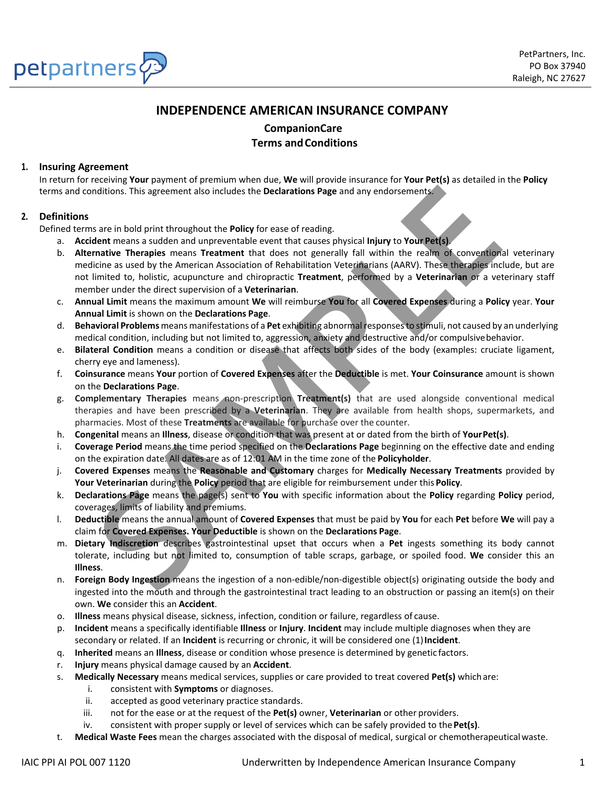

## **INDEPENDENCE AMERICAN INSURANCE COMPANY**

**CompanionCare Terms andConditions**

## **1. Insuring Agreement**

In return for receiving **Your** payment of premium when due, **We** will provide insurance for **Your Pet(s)** as detailed in the **Policy** terms and conditions. This agreement also includes the **Declarations Page** and any endorsements.

## **2. Definitions**

Defined terms are in bold print throughout the **Policy** for ease of reading.

- a. **Accident** means a sudden and unpreventable event that causes physical **Injury** to **Your Pet(s)**.
- b. **Alternative Therapies** means **Treatment** that does not generally fall within the realm of conventional veterinary medicine as used by the American Association of Rehabilitation Veterinarians (AARV). These therapies include, but are not limited to, holistic, acupuncture and chiropractic **Treatment**, performed by a **Veterinarian** or a veterinary staff member under the direct supervision of a **Veterinarian**. oritions. This agreement also includes the **Declarations Page** and any endorsements.<br>
Sare in bold print throughout the Policy for ease of reading.<br>
Elent means a sudden and unpreventable event that causes physical injury
- c. **Annual Limit** means the maximum amount **We** will reimburse **You** for all **Covered Expenses** during a **Policy** year. **Your Annual Limit** is shown on the **Declarations Page**.
- d. **Behavioral Problems** meansmanifestations of a **Pet** exhibiting abnormalresponsesto stimuli, not caused by an underlying medical condition, including but not limited to, aggression, anxiety and destructive and/or compulsivebehavior.
- e. **Bilateral Condition** means a condition or disease that affects both sides of the body (examples: cruciate ligament, cherry eye and lameness).
- f. **Coinsurance** means **Your** portion of **Covered Expenses** after the **Deductible** is met. **Your Coinsurance** amount is shown on the **Declarations Page**.
- g. **Complementary Therapies** means non‐prescription **Treatment(s)** that are used alongside conventional medical therapies and have been prescribed by a **Veterinarian**. They are available from health shops, supermarkets, and pharmacies. Most of these **Treatments** are available for purchase over the counter.
- h. **Congenital** means an **Illness**, disease or condition that was present at or dated from the birth of **YourPet(s)**.
- i. **Coverage Period** means the time period specified on the **Declarations Page** beginning on the effective date and ending on the expiration date. All dates are as of 12:01 AM in the time zone of the **Policyholder**.
- j. **Covered Expenses** means the **Reasonable and Customary** charges for **Medically Necessary Treatments** provided by **Your Veterinarian** during the **Policy** period that are eligible for reimbursement under this **Policy**.
- k. **Declarations Page** means the page(s) sent to **You** with specific information about the **Policy** regarding **Policy** period, coverages, limits of liability and premiums.
- l. **Deductible** means the annual amount of **Covered Expenses** that must be paid by **You** for each **Pet** before **We** will pay a claim for **Covered Expenses. Your Deductible** is shown on the **Declarations Page**.
- m. **Dietary Indiscretion** describes gastrointestinal upset that occurs when a **Pet** ingests something its body cannot tolerate, including but not limited to, consumption of table scraps, garbage, or spoiled food. **We** consider this an **Illness**.
- n. **Foreign Body Ingestion** means the ingestion of a non‐edible/non‐digestible object(s) originating outside the body and ingested into the mouth and through the gastrointestinal tract leading to an obstruction or passing an item(s) on their own. **We** consider this an **Accident**.
- o. **Illness** means physical disease, sickness, infection, condition or failure, regardless of cause.
- p. **Incident** means a specifically identifiable **Illness** or **Injury**. **Incident** may include multiple diagnoses when they are secondary or related. If an **Incident** is recurring or chronic, it will be considered one (1)**Incident**.
- q. **Inherited** means an **Illness**, disease or condition whose presence is determined by genetic factors.
- r. **Injury** means physical damage caused by an **Accident**.
- s. **Medically Necessary** means medical services, supplies or care provided to treat covered **Pet(s)** whichare:
	- i. consistent with **Symptoms** or diagnoses.
	- ii. accepted as good veterinary practice standards.
	- iii. not for the ease or at the request of the **Pet(s)** owner, **Veterinarian** or other providers.
	- iv. consistent with proper supply or level of services which can be safely provided to the **Pet(s)**.
- t. **Medical Waste Fees** mean the charges associated with the disposal of medical, surgical or chemotherapeuticalwaste.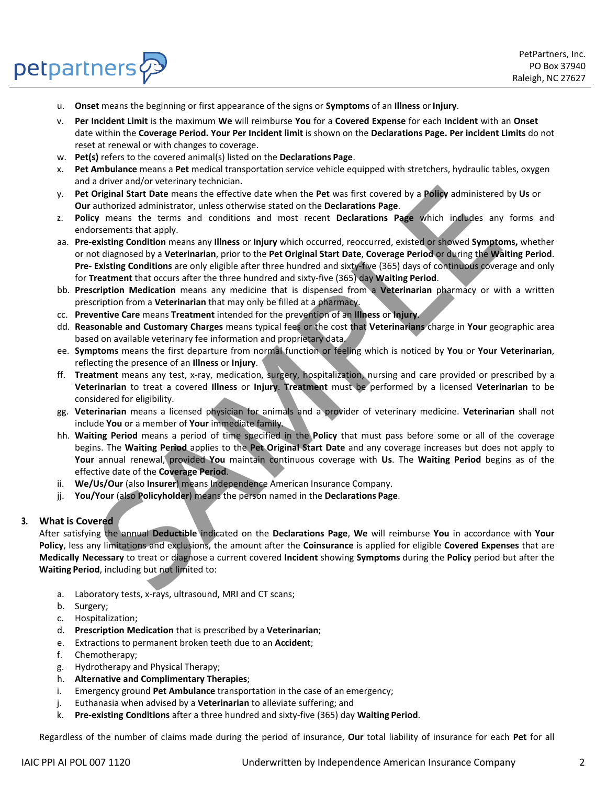

- petpartners $\mathcal{P}$ 
	- u. **Onset** means the beginning or first appearance of the signs or **Symptoms** of an **Illness** or**Injury**.
	- v. **Per Incident Limit** is the maximum **We** will reimburse **You** for a **Covered Expense** for each **Incident** with an **Onset** date within the **Coverage Period. Your Per Incident limit** is shown on the **Declarations Page. Per incident Limits** do not reset at renewal or with changes to coverage.
	- w. **Pet(s)** refers to the covered animal(s) listed on the **Declarations Page**.
	- x. **Pet Ambulance** means a **Pet** medical transportation service vehicle equipped with stretchers, hydraulic tables, oxygen and a driver and/or veterinary technician.
	- y. **Pet Original Start Date** means the effective date when the **Pet** was first covered by a **Policy** administered by **Us** or **Our** authorized administrator, unless otherwise stated on the **Declarations Page**.
	- z. **Policy** means the terms and conditions and most recent **Declarations Page** which includes any forms and endorsements that apply.
	- aa. **Pre-existing Condition** means any **Illness** or **Injury** which occurred, reoccurred, existed or showed **Symptoms,** whether or not diagnosed by a **Veterinarian**, prior to the **Pet Original Start Date**, **Coverage Period** or during the **Waiting Period**. **Pre- Existing Conditions** are only eligible after three hundred and sixty‐five (365) days of continuous coverage and only for **Treatment** that occurs after the three hundred and sixty‐five (365) day **Waiting Period**.
	- bb. **Prescription Medication** means any medicine that is dispensed from a **Veterinarian** pharmacy or with a written prescription from a **Veterinarian** that may only be filled at a pharmacy.
	- cc. **Preventive Care** means **Treatment** intended for the prevention of an **Illness** or **Injury**.
	- dd. **Reasonable and Customary Charges** means typical fees or the cost that **Veterinarians** charge in **Your** geographic area based on available veterinary fee information and proprietary data.
	- ee. **Symptoms** means the first departure from normal function or feeling which is noticed by **You** or **Your Veterinarian**, reflecting the presence of an **Illness** or **Injury**.
	- ff. **Treatment** means any test, x‐ray, medication, surgery, hospitalization, nursing and care provided or prescribed by a **Veterinarian** to treat a covered **Illness** or **Injury**. **Treatment** must be performed by a licensed **Veterinarian** to be considered for eligibility.
	- gg. **Veterinarian** means a licensed physician for animals and a provider of veterinary medicine. **Veterinarian** shall not include **You** or a member of **Your** immediate family.
	- hh. **Waiting Period** means a period of time specified in the **Policy** that must pass before some or all of the coverage begins. The **Waiting Period** applies to the **Pet Original Start Date** and any coverage increases but does not apply to **Your** annual renewal, provided **You** maintain continuous coverage with **Us**. The **Waiting Period** begins as of the effective date of the **Coverage Period**.
	- ii. **We/Us/Our** (also **Insurer**) means Independence American Insurance Company.
	- jj. **You/Your** (also **Policyholder**) means the person named in the **Declarations Page**.

## **3. What is Covered**

After satisfying the annual **Deductible** indicated on the **Declarations Page**, **We** will reimburse **You** in accordance with **Your Policy**, less any limitations and exclusions, the amount after the **Coinsurance** is applied for eligible **Covered Expenses** that are **Medically Necessary** to treat or diagnose a current covered **Incident** showing **Symptoms** during the **Policy** period but after the **Waiting Period**, including but not limited to: Driginal Start Date means the effective date when the Pet was first covered by a Policy administered<br>
when the terms and conditions and most terms the cheatations Page.<br>
The was state on the Declarations Page which include

- a. Laboratory tests, x‐rays, ultrasound, MRI and CT scans;
- b. Surgery;
- c. Hospitalization;
- d. **Prescription Medication** that is prescribed by a **Veterinarian**;
- e. Extractions to permanent broken teeth due to an **Accident**;
- f. Chemotherapy;
- g. Hydrotherapy and Physical Therapy;
- h. **Alternative and Complimentary Therapies**;
- i. Emergency ground **Pet Ambulance** transportation in the case of an emergency;
- j. Euthanasia when advised by a **Veterinarian** to alleviate suffering; and
- k. **Pre-existing Conditions** after a three hundred and sixty‐five (365) day **Waiting Period**.

Regardless of the number of claims made during the period of insurance, **Our** total liability of insurance for each **Pet** for all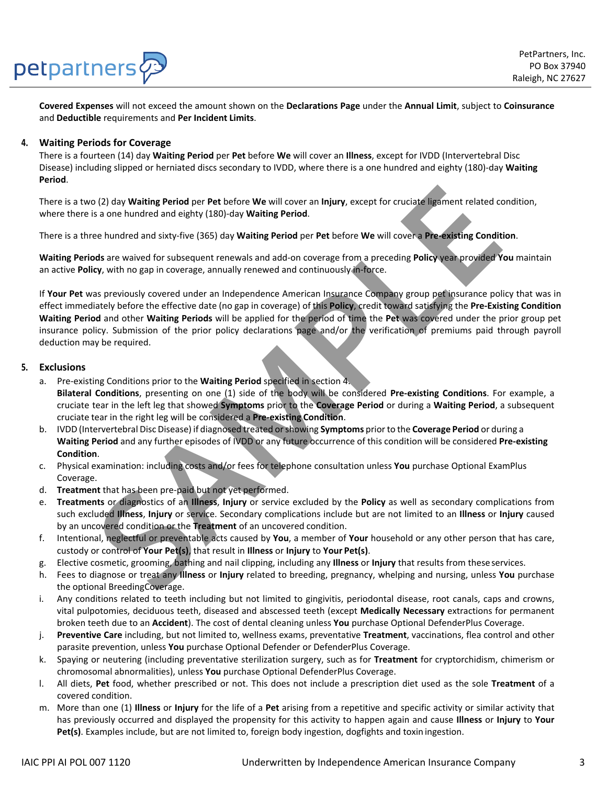# petpartners

**Covered Expenses** will not exceed the amount shown on the **Declarations Page** under the **Annual Limit**, subject to **Coinsurance**  and **Deductible** requirements and **Per Incident Limits**.

## **4. Waiting Periods for Coverage**

There is a fourteen (14) day **Waiting Period** per **Pet** before **We** will cover an **Illness**, except for IVDD (Intervertebral Disc Disease) including slipped or herniated discs secondary to IVDD, where there is a one hundred and eighty (180)‐day **Waiting Period**.

There is a two (2) day **Waiting Period** per **Pet** before **We** will cover an **Injury**, except for cruciate ligament related condition, where there is a one hundred and eighty (180)‐day **Waiting Period**.

There is a three hundred and sixty‐five (365) day **Waiting Period** per **Pet** before **We** will cover a **Pre-existing Condition**.

**Waiting Periods** are waived for subsequent renewals and add‐on coverage from a preceding **Policy** year provided **You** maintain an active **Policy**, with no gap in coverage, annually renewed and continuously in‐force.

If **Your Pet** was previously covered under an Independence American Insurance Company group pet insurance policy that was in effect immediately before the effective date (no gap in coverage) of this **Policy**, credit toward satisfying the **Pre-Existing Condition Waiting Period** and other **Waiting Periods** will be applied for the period of time the **Pet** was covered under the prior group pet insurance policy. Submission of the prior policy declarations page and/or the verification of premiums paid through payroll deduction may be required. **S** (2) day **Watting Period** per **Pet** before We will cover an Injury, except for cruciate ligement related of s a one hundred and sixty-five (365) day **Watting Period**.<br>
See hundred and sixty-five (365) day **Watting Perio** 

## **5. Exclusions**

- a. Pre‐existing Conditions prior to the **Waiting Period** specified in section 4.
	- **Bilateral Conditions**, presenting on one (1) side of the body will be considered **Pre-existing Conditions**. For example, a cruciate tear in the left leg that showed **Symptoms** prior to the **Coverage Period** or during a **Waiting Period**, a subsequent cruciate tear in the right leg will be considered a **Pre-existing Condition**.
- b. IVDD (Intervertebral Disc Disease) if diagnosed treated orshowing **Symptoms** priorto the **Coverage Period** or during a **Waiting Period** and any further episodes of IVDD or any future occurrence of this condition will be considered **Pre-existing Condition**.
- c. Physical examination: including costs and/or fees for telephone consultation unless **You** purchase Optional ExamPlus Coverage.
- d. **Treatment** that has been pre‐paid but not yet performed.
- e. **Treatments** or diagnostics of an **Illness**, **Injury** or service excluded by the **Policy** as well as secondary complications from such excluded **Illness**, **Injury** or service. Secondary complications include but are not limited to an **Illness** or **Injury** caused by an uncovered condition or the **Treatment** of an uncovered condition.
- f. Intentional, neglectful or preventable acts caused by **You**, a member of **Your** household or any other person that has care, custody or control of **Your Pet(s)**, that result in **Illness** or **Injury** to **Your Pet(s)**.
- g. Elective cosmetic, grooming, bathing and nail clipping, including any **Illness** or **Injury** that results from theseservices.
- h. Fees to diagnose or treat any **Illness** or **Injury** related to breeding, pregnancy, whelping and nursing, unless **You** purchase the optional BreedingCoverage.
- i. Any conditions related to teeth including but not limited to gingivitis, periodontal disease, root canals, caps and crowns, vital pulpotomies, deciduous teeth, diseased and abscessed teeth (except **Medically Necessary** extractions for permanent broken teeth due to an **Accident**). The cost of dental cleaning unless **You** purchase Optional DefenderPlus Coverage.
- j. **Preventive Care** including, but not limited to, wellness exams, preventative **Treatment**, vaccinations, flea control and other parasite prevention, unless **You** purchase Optional Defender or DefenderPlus Coverage.
- k. Spaying or neutering (including preventative sterilization surgery, such as for **Treatment** for cryptorchidism, chimerism or chromosomal abnormalities), unless **You** purchase Optional DefenderPlus Coverage.
- l. All diets, **Pet** food, whether prescribed or not. This does not include a prescription diet used as the sole **Treatment** of a covered condition.
- m. More than one (1) **Illness** or **Injury** for the life of a **Pet** arising from a repetitive and specific activity or similar activity that has previously occurred and displayed the propensity for this activity to happen again and cause **Illness** or **Injury** to **Your Pet(s)**. Examples include, but are not limited to, foreign body ingestion, dogfights and toxin ingestion.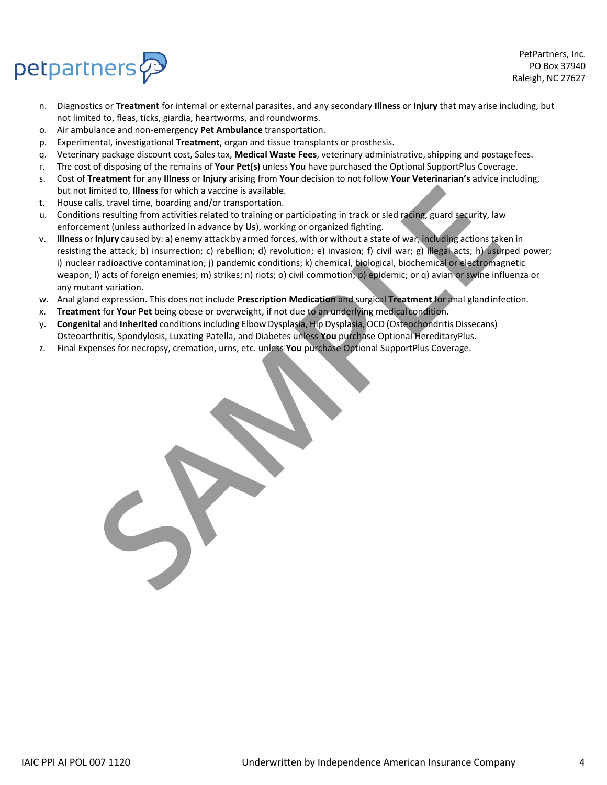

PetPartners, Inc. PO Box 37940 Raleigh, NC 27627

- n. Diagnostics or **Treatment** for internal or external parasites, and any secondary **Illness** or **Injury** that may arise including, but not limited to, fleas, ticks, giardia, heartworms, and roundworms.
- o. Air ambulance and non‐emergency **Pet Ambulance** transportation.
- p. Experimental, investigational **Treatment**, organ and tissue transplants or prosthesis.
- q. Veterinary package discount cost, Sales tax, **Medical Waste Fees**, veterinary administrative, shipping and postagefees.
- r. The cost of disposing of the remains of **Your Pet(s)** unless **You** have purchased the Optional SupportPlus Coverage.
- s. Cost of **Treatment** for any **Illness** or **Injury** arising from **Your** decision to not follow **Your Veterinarian's** advice including, but not limited to, **Illness** for which a vaccine is available.
- t. House calls, travel time, boarding and/or transportation.
- u. Conditions resulting from activities related to training or participating in track or sled racing, guard security, law enforcement (unless authorized in advance by **Us**), working or organized fighting.
- v. **Illness** or **Injury** caused by: a) enemy attack by armed forces, with or without a state of war, including actionstaken in resisting the attack; b) insurrection; c) rebellion; d) revolution; e) invasion; f) civil war; g) illegal acts; h) usurped power; i) nuclear radioactive contamination; j) pandemic conditions; k) chemical, biological, biochemical or electromagnetic weapon; l) acts of foreign enemies; m) strikes; n) riots; o) civil commotion; p) epidemic; or q) avian or swine influenza or any mutant variation. mited to, Illustration a vaccine is available. The interval and the method and the state of the state of the state is and the state of the state of the state of the state of the state of the state of the state of the state
- w. Anal gland expression. This does not include **Prescription Medication** and surgical **Treatment** for anal glandinfection.
- x. **Treatment** for **Your Pet** being obese or overweight, if not due to an underlying medical condition.
- y. **Congenital** and **Inherited** conditionsincluding Elbow Dysplasia, Hip Dysplasia, OCD (Osteochondritis Dissecans) Osteoarthritis, Spondylosis, Luxating Patella, and Diabetes unless **You** purchase Optional HereditaryPlus.
- z. Final Expenses for necropsy, cremation, urns, etc. unless **You** purchase Optional SupportPlus Coverage.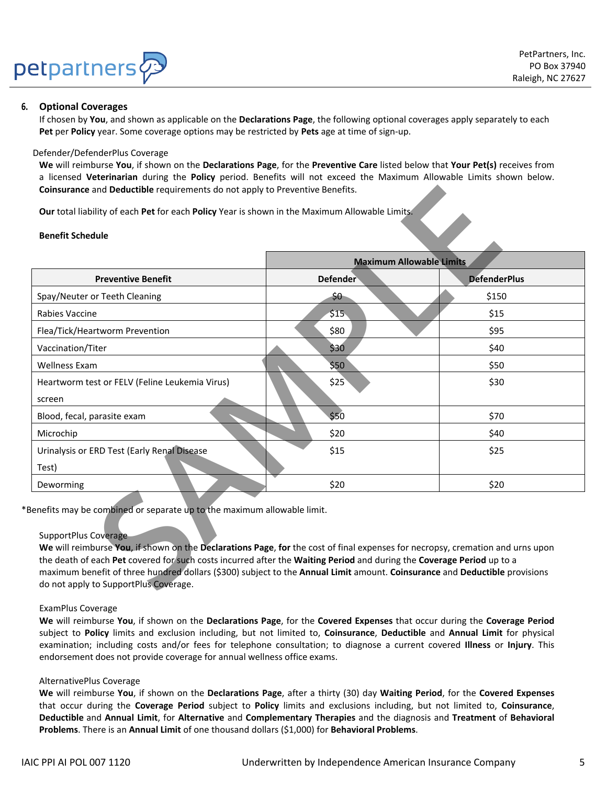

### **6. Optional Coverages**

If chosen by **You**, and shown as applicable on the **Declarations Page**, the following optional coverages apply separately to each **Pet** per **Policy** year. Some coverage options may be restricted by **Pets** age at time of sign‐up.

#### Defender/DefenderPlus Coverage

**We** will reimburse **You**, if shown on the **Declarations Page**, for the **Preventive Care** listed below that **Your Pet(s)** receives from a licensed **Veterinarian** during the **Policy** period. Benefits will not exceed the Maximum Allowable Limits shown below. **Coinsurance** and **Deductible** requirements do not apply to Preventive Benefits.

#### **Benefit Schedule**

| Coinsurance and Deductible requirements do not apply to Preventive Benefits.                                                                                                                                                                            |                                 |                     |
|---------------------------------------------------------------------------------------------------------------------------------------------------------------------------------------------------------------------------------------------------------|---------------------------------|---------------------|
| Our total liability of each Pet for each Policy Year is shown in the Maximum Allowable Limits.                                                                                                                                                          |                                 |                     |
| <b>Benefit Schedule</b>                                                                                                                                                                                                                                 |                                 |                     |
|                                                                                                                                                                                                                                                         | <b>Maximum Allowable Limits</b> |                     |
| <b>Preventive Benefit</b>                                                                                                                                                                                                                               | <b>Defender</b>                 | <b>DefenderPlus</b> |
| Spay/Neuter or Teeth Cleaning                                                                                                                                                                                                                           | \$0                             | \$150               |
| Rabies Vaccine                                                                                                                                                                                                                                          | \$15                            | \$15                |
| Flea/Tick/Heartworm Prevention                                                                                                                                                                                                                          | \$80                            | \$95                |
| Vaccination/Titer                                                                                                                                                                                                                                       | \$30                            | \$40                |
| <b>Wellness Exam</b>                                                                                                                                                                                                                                    | \$50                            | \$50                |
| Heartworm test or FELV (Feline Leukemia Virus)                                                                                                                                                                                                          | \$25                            | \$30                |
| screen                                                                                                                                                                                                                                                  |                                 |                     |
| Blood, fecal, parasite exam                                                                                                                                                                                                                             | \$50                            | \$70                |
| Microchip                                                                                                                                                                                                                                               | \$20                            | \$40                |
| Urinalysis or ERD Test (Early Renal Disease                                                                                                                                                                                                             | \$15                            | \$25                |
| Test)                                                                                                                                                                                                                                                   |                                 |                     |
| Deworming                                                                                                                                                                                                                                               | \$20                            | \$20                |
| Benefits may be combined or separate up to the maximum allowable limit.                                                                                                                                                                                 |                                 |                     |
|                                                                                                                                                                                                                                                         |                                 |                     |
| <b>SupportPlus Coverage</b>                                                                                                                                                                                                                             |                                 |                     |
| We will reimburse You, if shown on the Declarations Page, for the cost of final expenses for necropsy, cremation and urns upon<br>the death of each Pet covered for such costs incurred after the Waiting Period and during the Coverage Period up to a |                                 |                     |
| maximum benefit of three hundred dollars (\$300) subject to the Annual Limit amount. Coinsurance and Deductible provisions                                                                                                                              |                                 |                     |
| do not apply to SupportPlus Coverage.                                                                                                                                                                                                                   |                                 |                     |

#### SupportPlus Coverage

#### ExamPlus Coverage

**We** will reimburse **You**, if shown on the **Declarations Page**, for the **Covered Expenses** that occur during the **Coverage Period** subject to **Policy** limits and exclusion including, but not limited to, **Coinsurance**, **Deductible** and **Annual Limit** for physical examination; including costs and/or fees for telephone consultation; to diagnose a current covered **Illness** or **Injury**. This endorsement does not provide coverage for annual wellness office exams.

#### AlternativePlus Coverage

**We** will reimburse **You**, if shown on the **Declarations Page**, after a thirty (30) day **Waiting Period**, for the **Covered Expenses**  that occur during the **Coverage Period** subject to **Policy** limits and exclusions including, but not limited to, **Coinsurance**, **Deductible** and **Annual Limit**, for **Alternative** and **Complementary Therapies** and the diagnosis and **Treatment** of **Behavioral Problems**. There is an **Annual Limit** of one thousand dollars (\$1,000) for **Behavioral Problems**.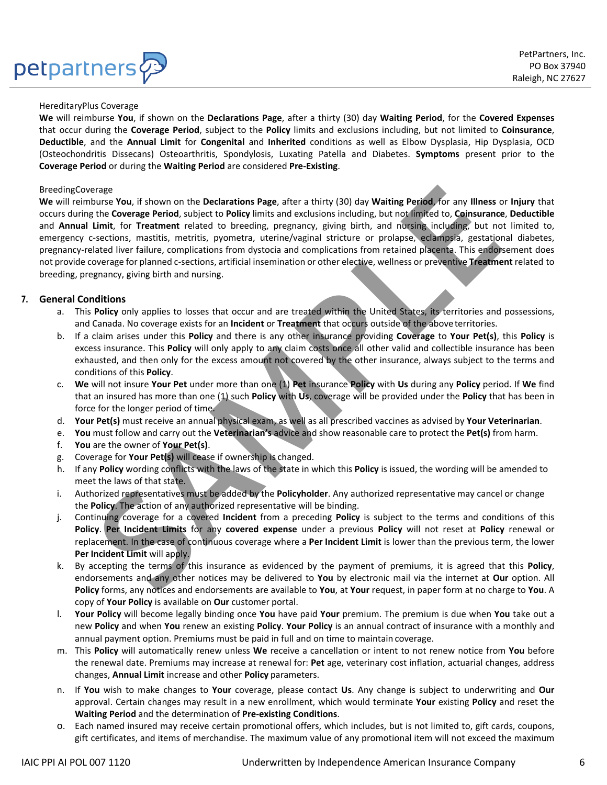## petpartners

#### HereditaryPlus Coverage

**We** will reimburse **You**, if shown on the **Declarations Page**, after a thirty (30) day **Waiting Period**, for the **Covered Expenses**  that occur during the **Coverage Period**, subject to the **Policy** limits and exclusions including, but not limited to **Coinsurance**, **Deductible**, and the **Annual Limit** for **Congenital** and **Inherited** conditions as well as Elbow Dysplasia, Hip Dysplasia, OCD (Osteochondritis Dissecans) Osteoarthritis, Spondylosis, Luxating Patella and Diabetes. **Symptoms** present prior to the **Coverage Period** or during the **Waiting Period** are considered **Pre-Existing**.

#### BreedingCoverage

**We** will reimburse **You**, if shown on the **Declarations Page**, after a thirty (30) day **Waiting Period**, for any **Illness** or **Injury** that occurs during the **Coverage Period**, subject to **Policy** limits and exclusions including, but not limited to, **Coinsurance**, **Deductible**  and **Annual Limit**, for **Treatment** related to breeding, pregnancy, giving birth, and nursing including, but not limited to, emergency c-sections, mastitis, metritis, pyometra, uterine/vaginal stricture or prolapse, eclampsia, gestational diabetes, pregnancy-related liver failure, complications from dystocia and complications from retained placenta. This endorsement does not provide coverage for planned c‐sections, artificial insemination or other elective, wellness or preventive **Treatment** related to breeding, pregnancy, giving birth and nursing. arage that the Coverage Period, subject to Policy limits and exclusions including, but not limited to, Columnation and the Coverage Ferra and the Coverage Period, Subjects to Policy limits and exclusions including, but not

## **7. General Conditions**

- a. This **Policy** only applies to losses that occur and are treated within the United States, its territories and possessions, and Canada. No coverage exists for an **Incident** or **Treatment** that occurs outside of the above territories.
- b. If a claim arises under this **Policy** and there is any other insurance providing **Coverage** to **Your Pet(s)**, this **Policy** is excess insurance. This **Policy** will only apply to any claim costs once all other valid and collectible insurance has been exhausted, and then only for the excess amount not covered by the other insurance, always subject to the terms and conditions of this **Policy**.
- c. **We** will not insure **Your Pet** under more than one (1) **Pet** insurance **Policy** with **Us** during any **Policy** period. If **We** find that an insured has more than one (1) such **Policy** with **Us**, coverage will be provided under the **Policy** that has been in force for the longer period of time.
- d. **Your Pet(s)** must receive an annual physical exam, as well as all prescribed vaccines as advised by **Your Veterinarian**.
- e. **You** must follow and carry out the **Veterinarian's** advice and show reasonable care to protect the **Pet(s)** from harm.
- f. **You** are the owner of **Your Pet(s)**.
- g. Coverage for **Your Pet(s)** will cease if ownership is changed.
- h. If any **Policy** wording conflicts with the laws of the state in which this **Policy** is issued, the wording will be amended to meet the laws of that state.
- i. Authorized representatives must be added by the **Policyholder**. Any authorized representative may cancel or change the **Policy**. The action of any authorized representative will be binding.
- j. Continuing coverage for a covered **Incident** from a preceding **Policy** is subject to the terms and conditions of this **Policy**. **Per Incident Limits** for any **covered expense** under a previous **Policy** will not reset at **Policy** renewal or replacement. In the case of continuous coverage where a **Per Incident Limit** is lower than the previous term, the lower **Per Incident Limit** will apply.
- k. By accepting the terms of this insurance as evidenced by the payment of premiums, it is agreed that this **Policy**, endorsements and any other notices may be delivered to **You** by electronic mail via the internet at **Our** option. All **Policy** forms, any notices and endorsements are available to **You**, at **Your** request, in paper form at no charge to **You**. A copy of **Your Policy** is available on **Our** customer portal.
- l. **Your Policy** will become legally binding once **You** have paid **Your** premium. The premium is due when **You** take out a new **Policy** and when **You** renew an existing **Policy**. **Your Policy** is an annual contract of insurance with a monthly and annual payment option. Premiums must be paid in full and on time to maintain coverage.
- m. This **Policy** will automatically renew unless **We** receive a cancellation or intent to not renew notice from **You** before the renewal date. Premiums may increase at renewal for: **Pet** age, veterinary cost inflation, actuarial changes, address changes, **Annual Limit** increase and other **Policy** parameters.
- n. If **You** wish to make changes to **Your** coverage, please contact **Us**. Any change is subject to underwriting and **Our** approval. Certain changes may result in a new enrollment, which would terminate **Your** existing **Policy** and reset the **Waiting Period** and the determination of **Pre-existing Conditions**.
- o. Each named insured may receive certain promotional offers, which includes, but is not limited to, gift cards, coupons, gift certificates, and items of merchandise. The maximum value of any promotional item will not exceed the maximum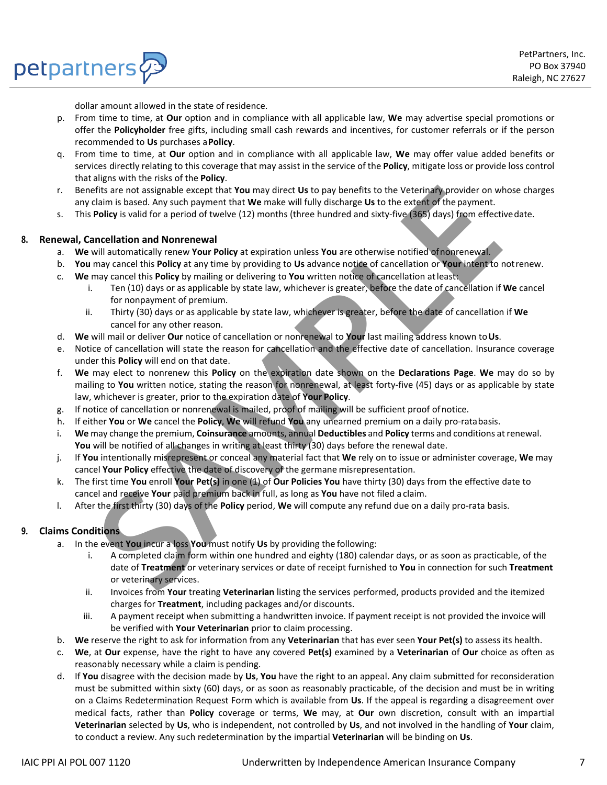

dollar amount allowed in the state of residence.

- p. From time to time, at **Our** option and in compliance with all applicable law, **We** may advertise special promotions or offer the **Policyholder** free gifts, including small cash rewards and incentives, for customer referrals or if the person recommended to **Us** purchases a**Policy**.
- q. From time to time, at **Our** option and in compliance with all applicable law, **We** may offer value added benefits or services directly relating to this coverage that may assist in the service of the **Policy**, mitigate loss or provide loss control that aligns with the risks of the **Policy**.
- r. Benefits are not assignable except that **You** may direct **Us** to pay benefits to the Veterinary provider on whose charges any claim is based. Any such payment that **We** make will fully discharge **Us** to the extent of the payment.
- s. This **Policy** is valid for a period of twelve (12) months (three hundred and sixty‐five (365) days) from effectivedate.

#### **8. Renewal, Cancellation and Nonrenewal**

petpartners

- a. **We** will automatically renew **Your Policy** at expiration unless **You** are otherwise notified ofnonrenewal.
- b. **You** may cancel this **Policy** at any time by providing to **Us** advance notice of cancellation or **Your** intent to notrenew.
- c. **We** may cancel this **Policy** by mailing or delivering to **You** written notice of cancellation atleast:
	- i. Ten (10) days or as applicable by state law, whichever is greater, before the date of cancellation if **We** cancel for nonpayment of premium.
	- ii. Thirty (30) days or as applicable by state law, whichever is greater, before the date of cancellation if **We**  cancel for any other reason.
- d. **We** will mail or deliver **Our** notice of cancellation or nonrenewal to **Your** last mailing address known to**Us**.
- e. Notice of cancellation will state the reason for cancellation and the effective date of cancellation. Insurance coverage under this **Policy** will end on that date.
- f. **We** may elect to nonrenew this **Policy** on the expiration date shown on the **Declarations Page**. **We** may do so by mailing to You written notice, stating the reason for nonrenewal, at least forty-five (45) days or as applicable by state law, whichever is greater, prior to the expiration date of **Your Policy**. erifis are not assignable except that You may direct Us to pay benefits to the Veterinary provider on which the symetric to the symetric tot involve the symetric tot involve the symetric tot involve the symetric strain of
- g. If notice of cancellation or nonrenewal is mailed, proof of mailing will be sufficient proof ofnotice.
- h. If either **You** or **We** cancel the **Policy**, **We** will refund **You** any unearned premium on a daily pro‐ratabasis.
- i. **We** may change the premium, **Coinsurance** amounts, annual **Deductibles** and **Policy** terms and conditions at renewal. You will be notified of all changes in writing at least thirty (30) days before the renewal date.
- j. If **You** intentionally misrepresent or conceal any material fact that **We** rely on to issue or administer coverage, **We** may cancel **Your Policy** effective the date of discovery of the germane misrepresentation.
- k. The first time **You** enroll **Your Pet(s)** in one (1) of **Our Policies You** have thirty (30) days from the effective date to cancel and receive **Your** paid premium back in full, as long as **You** have not filed a claim.
- l. After the first thirty (30) days of the **Policy** period, **We** will compute any refund due on a daily pro‐rata basis.

## **9. Claims Conditions**

- a. In the event **You** incur a loss **You** must notify **Us** by providing the following:
	- i. A completed claim form within one hundred and eighty (180) calendar days, or as soon as practicable, of the date of **Treatment** or veterinary services or date of receipt furnished to **You** in connection for such **Treatment**  or veterinary services.
	- ii. Invoices from **Your** treating **Veterinarian** listing the services performed, products provided and the itemized charges for **Treatment**, including packages and/or discounts.
	- iii. A payment receipt when submitting a handwritten invoice. If payment receipt is not provided the invoice will be verified with **Your Veterinarian** prior to claim processing.
- b. **We** reserve the right to ask for information from any **Veterinarian** that has ever seen **Your Pet(s)** to assess its health.
- c. **We**, at **Our** expense, have the right to have any covered **Pet(s)** examined by a **Veterinarian** of **Our** choice as often as reasonably necessary while a claim is pending.
- d. If **You** disagree with the decision made by **Us**, **You** have the right to an appeal. Any claim submitted for reconsideration must be submitted within sixty (60) days, or as soon as reasonably practicable, of the decision and must be in writing on a Claims Redetermination Request Form which is available from **Us**. If the appeal is regarding a disagreement over medical facts, rather than **Policy** coverage or terms, **We** may, at **Our** own discretion, consult with an impartial **Veterinarian** selected by **Us**, who is independent, not controlled by **Us**, and not involved in the handling of **Your** claim, to conduct a review. Any such redetermination by the impartial **Veterinarian** will be binding on **Us**.